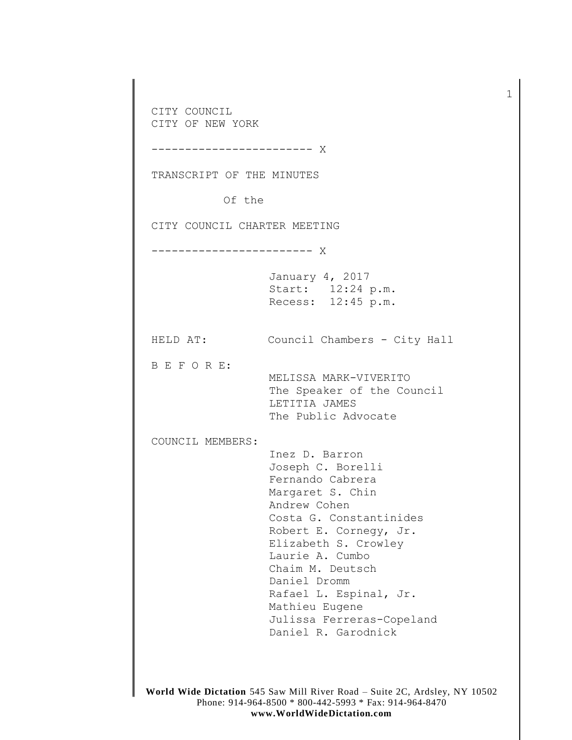CITY COUNCIL CITY OF NEW YORK ------------------------ X TRANSCRIPT OF THE MINUTES Of the CITY COUNCIL CHARTER MEETING ------------------------ X January 4, 2017 Start: 12:24 p.m. Recess: 12:45 p.m. HELD AT: Council Chambers - City Hall B E F O R E: MELISSA MARK-VIVERITO The Speaker of the Council LETITIA JAMES The Public Advocate COUNCIL MEMBERS: Inez D. Barron Joseph C. Borelli Fernando Cabrera Margaret S. Chin Andrew Cohen Costa G. Constantinides Robert E. Cornegy, Jr. Elizabeth S. Crowley Laurie A. Cumbo Chaim M. Deutsch Daniel Dromm Rafael L. Espinal, Jr. Mathieu Eugene Julissa Ferreras-Copeland Daniel R. Garodnick

1

**World Wide Dictation** 545 Saw Mill River Road – Suite 2C, Ardsley, NY 10502 Phone: 914-964-8500 \* 800-442-5993 \* Fax: 914-964-8470 **www.WorldWideDictation.com**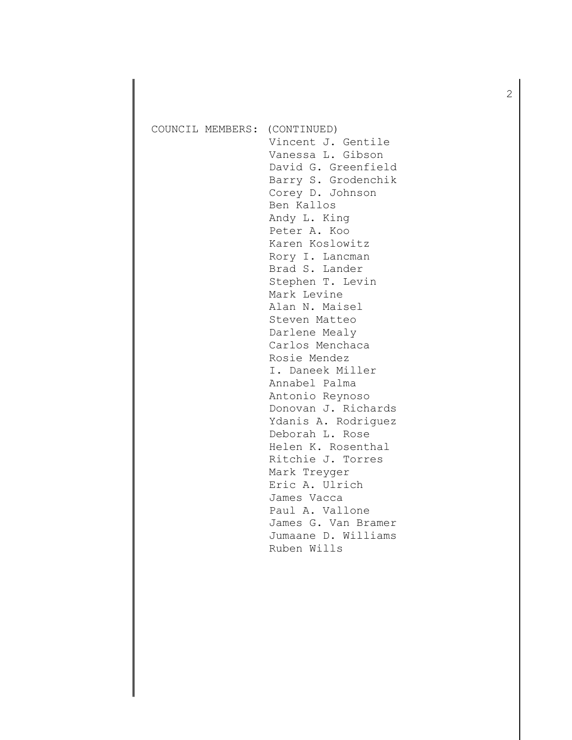| COUNCIL MEMBERS: | (CONTINUED)<br>Vincent J. Gentile<br>Vanessa L. Gibson<br>David G. Greenfield<br>Barry S. Grodenchik<br>Corey D. Johnson<br>Ben Kallos<br>Andy L. King<br>Peter A. Koo<br>Karen Koslowitz<br>Rory I. Lancman<br>Brad S. Lander<br>Stephen T. Levin<br>Mark Levine<br>Alan N. Maisel<br>Steven Matteo<br>Darlene Mealy<br>Carlos Menchaca<br>Rosie Mendez<br>I. Daneek Miller<br>Annabel Palma<br>Antonio Reynoso<br>Donovan J. Richards<br>Ydanis A. Rodriguez<br>Deborah L. Rose<br>Helen K. Rosenthal<br>Ritchie J. Torres<br>Mark Treyger<br>Eric A. Ulrich<br>James Vacca<br>Paul A. Vallone<br>James G. Van Bramer<br>Jumaane D. Williams |
|------------------|------------------------------------------------------------------------------------------------------------------------------------------------------------------------------------------------------------------------------------------------------------------------------------------------------------------------------------------------------------------------------------------------------------------------------------------------------------------------------------------------------------------------------------------------------------------------------------------------------------------------------------------------|
|                  | Ruben Wills                                                                                                                                                                                                                                                                                                                                                                                                                                                                                                                                                                                                                                    |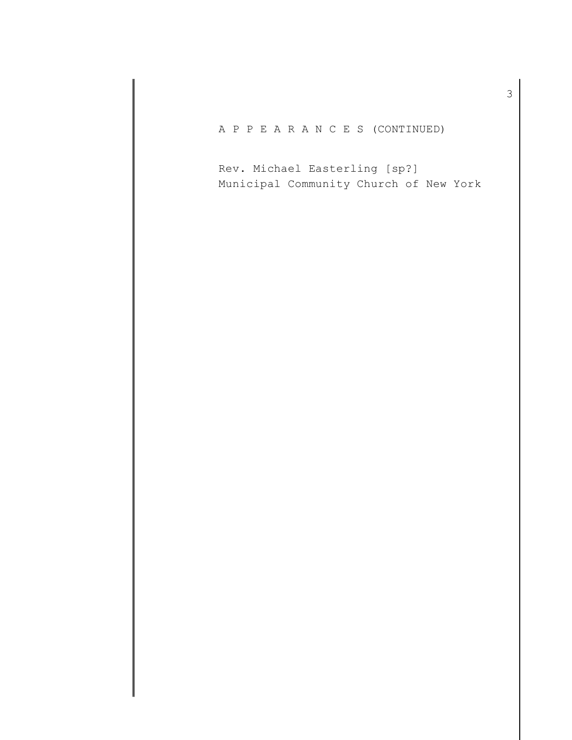A P P E A R A N C E S (CONTINUED)

Rev. Michael Easterling [sp?] Municipal Community Church of New York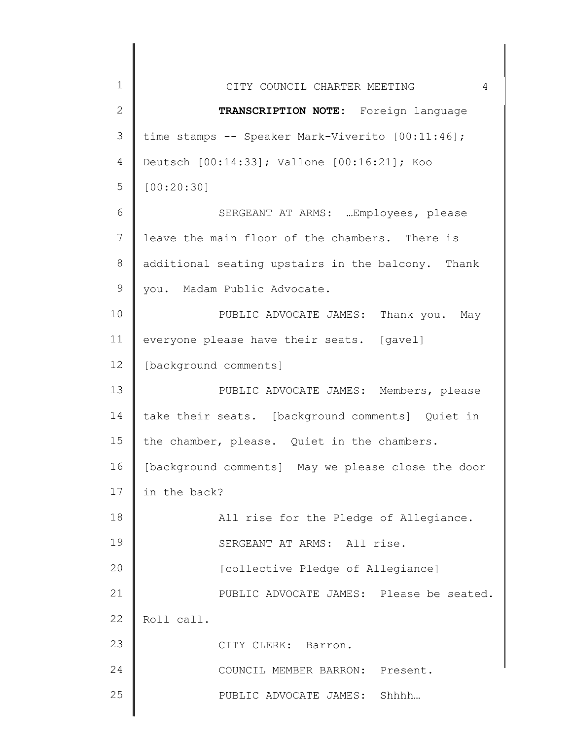| 1<br>$\overline{4}$<br>CITY COUNCIL CHARTER MEETING<br>2<br>TRANSCRIPTION NOTE: Foreign language<br>3<br>time stamps -- Speaker Mark-Viverito [00:11:46];<br>Deutsch [00:14:33]; Vallone [00:16:21]; Koo<br>4<br>5<br>[00:20:30]<br>SERGEANT AT ARMS:  Employees, please<br>6<br>7<br>leave the main floor of the chambers. There is<br>8<br>additional seating upstairs in the balcony. Thank<br>9<br>you. Madam Public Advocate.<br>10<br>PUBLIC ADVOCATE JAMES: Thank you. May<br>11<br>everyone please have their seats. [gavel]<br>12<br>[background comments]<br>13<br>PUBLIC ADVOCATE JAMES: Members, please<br>14<br>take their seats. [background comments] Quiet in<br>15<br>the chamber, please. Quiet in the chambers.<br>16<br>[background comments] May we please close the door<br>17<br>in the back?<br>18<br>All rise for the Pledge of Allegiance.<br>19<br>SERGEANT AT ARMS: All rise.<br>20<br>[collective Pledge of Allegiance]<br>21<br>PUBLIC ADVOCATE JAMES: Please be seated.<br>22<br>Roll call.<br>23<br>CITY CLERK: Barron.<br>24<br>COUNCIL MEMBER BARRON: Present.<br>25<br>PUBLIC ADVOCATE JAMES: Shhhh |  |
|----------------------------------------------------------------------------------------------------------------------------------------------------------------------------------------------------------------------------------------------------------------------------------------------------------------------------------------------------------------------------------------------------------------------------------------------------------------------------------------------------------------------------------------------------------------------------------------------------------------------------------------------------------------------------------------------------------------------------------------------------------------------------------------------------------------------------------------------------------------------------------------------------------------------------------------------------------------------------------------------------------------------------------------------------------------------------------------------------------------------------------------|--|
|                                                                                                                                                                                                                                                                                                                                                                                                                                                                                                                                                                                                                                                                                                                                                                                                                                                                                                                                                                                                                                                                                                                                        |  |
|                                                                                                                                                                                                                                                                                                                                                                                                                                                                                                                                                                                                                                                                                                                                                                                                                                                                                                                                                                                                                                                                                                                                        |  |
|                                                                                                                                                                                                                                                                                                                                                                                                                                                                                                                                                                                                                                                                                                                                                                                                                                                                                                                                                                                                                                                                                                                                        |  |
|                                                                                                                                                                                                                                                                                                                                                                                                                                                                                                                                                                                                                                                                                                                                                                                                                                                                                                                                                                                                                                                                                                                                        |  |
|                                                                                                                                                                                                                                                                                                                                                                                                                                                                                                                                                                                                                                                                                                                                                                                                                                                                                                                                                                                                                                                                                                                                        |  |
|                                                                                                                                                                                                                                                                                                                                                                                                                                                                                                                                                                                                                                                                                                                                                                                                                                                                                                                                                                                                                                                                                                                                        |  |
|                                                                                                                                                                                                                                                                                                                                                                                                                                                                                                                                                                                                                                                                                                                                                                                                                                                                                                                                                                                                                                                                                                                                        |  |
|                                                                                                                                                                                                                                                                                                                                                                                                                                                                                                                                                                                                                                                                                                                                                                                                                                                                                                                                                                                                                                                                                                                                        |  |
|                                                                                                                                                                                                                                                                                                                                                                                                                                                                                                                                                                                                                                                                                                                                                                                                                                                                                                                                                                                                                                                                                                                                        |  |
|                                                                                                                                                                                                                                                                                                                                                                                                                                                                                                                                                                                                                                                                                                                                                                                                                                                                                                                                                                                                                                                                                                                                        |  |
|                                                                                                                                                                                                                                                                                                                                                                                                                                                                                                                                                                                                                                                                                                                                                                                                                                                                                                                                                                                                                                                                                                                                        |  |
|                                                                                                                                                                                                                                                                                                                                                                                                                                                                                                                                                                                                                                                                                                                                                                                                                                                                                                                                                                                                                                                                                                                                        |  |
|                                                                                                                                                                                                                                                                                                                                                                                                                                                                                                                                                                                                                                                                                                                                                                                                                                                                                                                                                                                                                                                                                                                                        |  |
|                                                                                                                                                                                                                                                                                                                                                                                                                                                                                                                                                                                                                                                                                                                                                                                                                                                                                                                                                                                                                                                                                                                                        |  |
|                                                                                                                                                                                                                                                                                                                                                                                                                                                                                                                                                                                                                                                                                                                                                                                                                                                                                                                                                                                                                                                                                                                                        |  |
|                                                                                                                                                                                                                                                                                                                                                                                                                                                                                                                                                                                                                                                                                                                                                                                                                                                                                                                                                                                                                                                                                                                                        |  |
|                                                                                                                                                                                                                                                                                                                                                                                                                                                                                                                                                                                                                                                                                                                                                                                                                                                                                                                                                                                                                                                                                                                                        |  |
|                                                                                                                                                                                                                                                                                                                                                                                                                                                                                                                                                                                                                                                                                                                                                                                                                                                                                                                                                                                                                                                                                                                                        |  |
|                                                                                                                                                                                                                                                                                                                                                                                                                                                                                                                                                                                                                                                                                                                                                                                                                                                                                                                                                                                                                                                                                                                                        |  |
|                                                                                                                                                                                                                                                                                                                                                                                                                                                                                                                                                                                                                                                                                                                                                                                                                                                                                                                                                                                                                                                                                                                                        |  |
|                                                                                                                                                                                                                                                                                                                                                                                                                                                                                                                                                                                                                                                                                                                                                                                                                                                                                                                                                                                                                                                                                                                                        |  |
|                                                                                                                                                                                                                                                                                                                                                                                                                                                                                                                                                                                                                                                                                                                                                                                                                                                                                                                                                                                                                                                                                                                                        |  |
|                                                                                                                                                                                                                                                                                                                                                                                                                                                                                                                                                                                                                                                                                                                                                                                                                                                                                                                                                                                                                                                                                                                                        |  |
|                                                                                                                                                                                                                                                                                                                                                                                                                                                                                                                                                                                                                                                                                                                                                                                                                                                                                                                                                                                                                                                                                                                                        |  |
|                                                                                                                                                                                                                                                                                                                                                                                                                                                                                                                                                                                                                                                                                                                                                                                                                                                                                                                                                                                                                                                                                                                                        |  |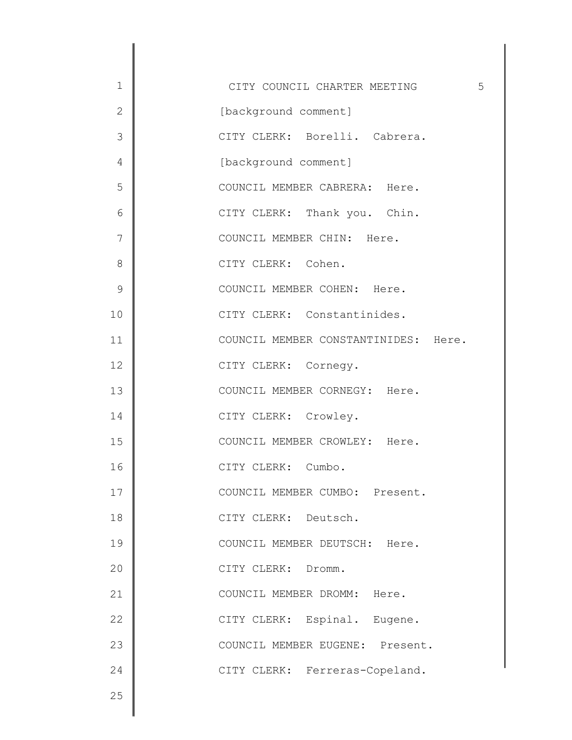| $\mathbf 1$   | 5<br>CITY COUNCIL CHARTER MEETING    |
|---------------|--------------------------------------|
| $\mathbf{2}$  | [background comment]                 |
| 3             | CITY CLERK: Borelli. Cabrera.        |
| 4             | [background comment]                 |
| 5             | COUNCIL MEMBER CABRERA: Here.        |
| 6             | CITY CLERK: Thank you. Chin.         |
| 7             | COUNCIL MEMBER CHIN: Here.           |
| 8             | CITY CLERK: Cohen.                   |
| $\mathcal{G}$ | COUNCIL MEMBER COHEN: Here.          |
| 10            | CITY CLERK: Constantinides.          |
| 11            | COUNCIL MEMBER CONSTANTINIDES: Here. |
| 12            | CITY CLERK: Cornegy.                 |
| 13            | COUNCIL MEMBER CORNEGY: Here.        |
| 14            | CITY CLERK: Crowley.                 |
| 15            | COUNCIL MEMBER CROWLEY: Here.        |
| 16            | CITY CLERK: Cumbo.                   |
| 17            | COUNCIL MEMBER CUMBO: Present.       |
| 18            | CITY CLERK: Deutsch.                 |
| 19            | COUNCIL MEMBER DEUTSCH: Here.        |
| 20            | CITY CLERK: Dromm.                   |
| 21            | COUNCIL MEMBER DROMM: Here.          |
| 22            | CITY CLERK: Espinal. Eugene.         |
| 23            | COUNCIL MEMBER EUGENE: Present.      |
| 24            | CITY CLERK: Ferreras-Copeland.       |
| 25            |                                      |
|               |                                      |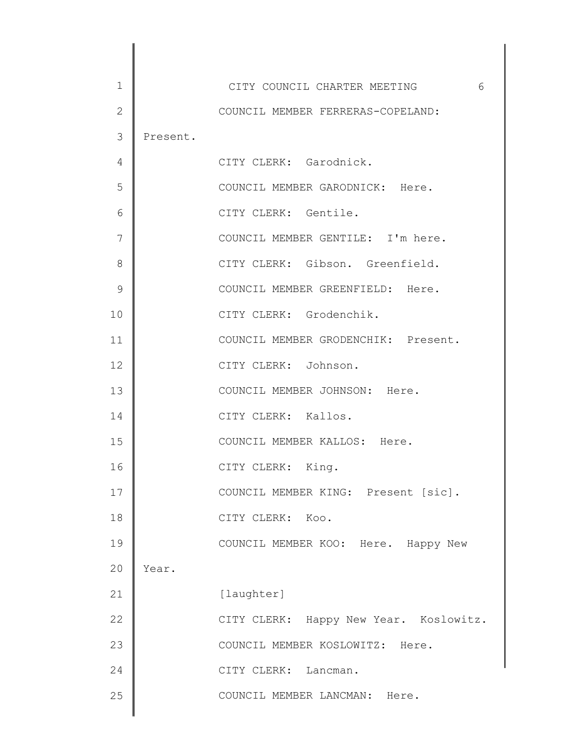| 1            |          | 6<br>CITY COUNCIL CHARTER MEETING      |
|--------------|----------|----------------------------------------|
| $\mathbf{2}$ |          | COUNCIL MEMBER FERRERAS-COPELAND:      |
| 3            | Present. |                                        |
| 4            |          | CITY CLERK: Garodnick.                 |
| 5            |          | COUNCIL MEMBER GARODNICK: Here.        |
| 6            |          | CITY CLERK: Gentile.                   |
| 7            |          | COUNCIL MEMBER GENTILE: I'm here.      |
| 8            |          | CITY CLERK: Gibson. Greenfield.        |
| 9            |          | COUNCIL MEMBER GREENFIELD: Here.       |
| 10           |          | CITY CLERK: Grodenchik.                |
| 11           |          | COUNCIL MEMBER GRODENCHIK: Present.    |
| 12           |          | CITY CLERK: Johnson.                   |
| 13           |          | COUNCIL MEMBER JOHNSON: Here.          |
| 14           |          | CITY CLERK: Kallos.                    |
| 15           |          | COUNCIL MEMBER KALLOS: Here.           |
| 16           |          | CITY CLERK: King.                      |
| 17           |          | COUNCIL MEMBER KING: Present [sic].    |
| 18           |          | CITY CLERK: Koo.                       |
| 19           |          | COUNCIL MEMBER KOO: Here. Happy New    |
| 20           | Year.    |                                        |
| 21           |          | [laughter]                             |
| 22           |          | CITY CLERK: Happy New Year. Koslowitz. |
| 23           |          | COUNCIL MEMBER KOSLOWITZ: Here.        |
| 24           |          | CITY CLERK: Lancman.                   |
| 25           |          | COUNCIL MEMBER LANCMAN: Here.          |
|              |          |                                        |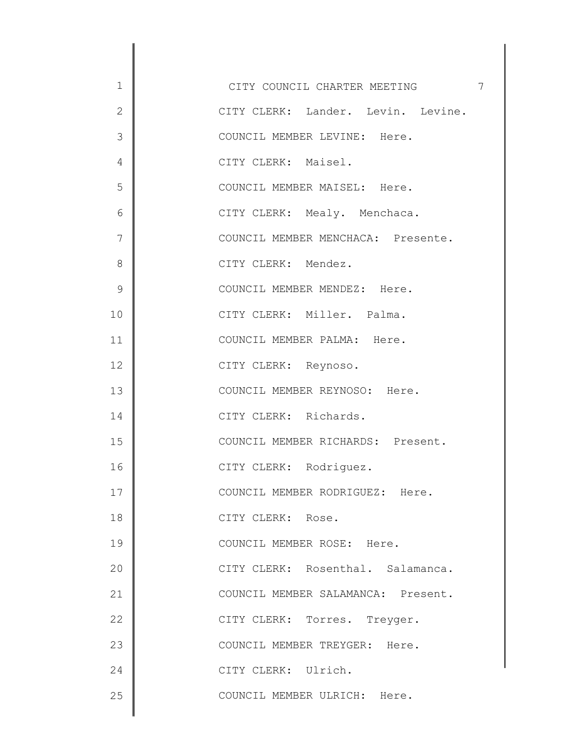| $\mathbf 1$   | $\overline{7}$<br>CITY COUNCIL CHARTER MEETING |
|---------------|------------------------------------------------|
| $\mathbf{2}$  | CITY CLERK: Lander. Levin. Levine.             |
| 3             | COUNCIL MEMBER LEVINE: Here.                   |
| 4             | CITY CLERK: Maisel.                            |
| 5             | COUNCIL MEMBER MAISEL: Here.                   |
| 6             | CITY CLERK: Mealy. Menchaca.                   |
| 7             | COUNCIL MEMBER MENCHACA: Presente.             |
| 8             | CITY CLERK: Mendez.                            |
| $\mathcal{G}$ | COUNCIL MEMBER MENDEZ: Here.                   |
| 10            | CITY CLERK: Miller. Palma.                     |
| 11            | COUNCIL MEMBER PALMA: Here.                    |
| 12            | CITY CLERK: Reynoso.                           |
| 13            | COUNCIL MEMBER REYNOSO: Here.                  |
| 14            | CITY CLERK: Richards.                          |
| 15            | COUNCIL MEMBER RICHARDS: Present.              |
| 16            | CITY CLERK: Rodriquez.                         |
| 17            | COUNCIL MEMBER RODRIGUEZ: Here.                |
| 18            | CITY CLERK: Rose.                              |
| 19            | COUNCIL MEMBER ROSE: Here.                     |
| 20            | CITY CLERK: Rosenthal. Salamanca.              |
| 21            | COUNCIL MEMBER SALAMANCA: Present.             |
| 22            | CITY CLERK: Torres. Treyger.                   |
| 23            | COUNCIL MEMBER TREYGER: Here.                  |
| 24            | CITY CLERK: Ulrich.                            |
| 25            | COUNCIL MEMBER ULRICH: Here.                   |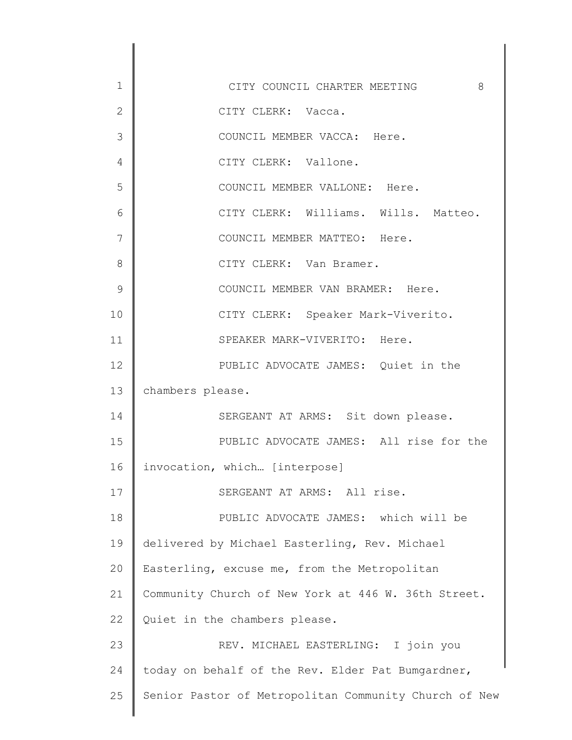1 2 3 4 5 6 7 8 9 10 11 12 13 14 15 16 17 18 19 20 21 22 23 24 25 CITY COUNCIL CHARTER MEETING 8 CITY CLERK: Vacca. COUNCIL MEMBER VACCA: Here. CITY CLERK: Vallone. COUNCIL MEMBER VALLONE: Here. CITY CLERK: Williams. Wills. Matteo. COUNCIL MEMBER MATTEO: Here. CITY CLERK: Van Bramer. COUNCIL MEMBER VAN BRAMER: Here. CITY CLERK: Speaker Mark-Viverito. SPEAKER MARK-VIVERITO: Here. PUBLIC ADVOCATE JAMES: Quiet in the chambers please. SERGEANT AT ARMS: Sit down please. PUBLIC ADVOCATE JAMES: All rise for the invocation, which… [interpose] SERGEANT AT ARMS: All rise. PUBLIC ADVOCATE JAMES: which will be delivered by Michael Easterling, Rev. Michael Easterling, excuse me, from the Metropolitan Community Church of New York at 446 W. 36th Street. Quiet in the chambers please. REV. MICHAEL EASTERLING: I join you today on behalf of the Rev. Elder Pat Bumgardner, Senior Pastor of Metropolitan Community Church of New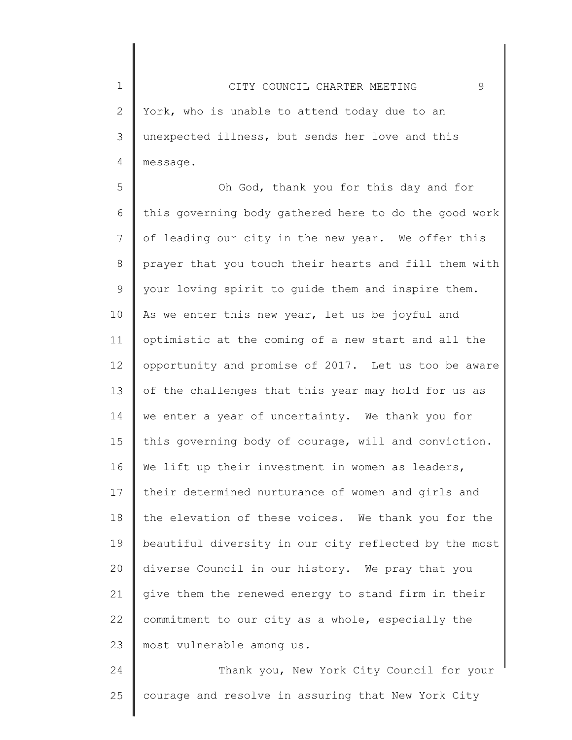1 2 3 4 CITY COUNCIL CHARTER MEETING 9 York, who is unable to attend today due to an unexpected illness, but sends her love and this message.

5 6 7 8 9 10 11 12 13 14 15 16 17 18 19 20 21 22 23 Oh God, thank you for this day and for this governing body gathered here to do the good work of leading our city in the new year. We offer this prayer that you touch their hearts and fill them with your loving spirit to guide them and inspire them. As we enter this new year, let us be joyful and optimistic at the coming of a new start and all the opportunity and promise of 2017. Let us too be aware of the challenges that this year may hold for us as we enter a year of uncertainty. We thank you for this governing body of courage, will and conviction. We lift up their investment in women as leaders, their determined nurturance of women and girls and the elevation of these voices. We thank you for the beautiful diversity in our city reflected by the most diverse Council in our history. We pray that you give them the renewed energy to stand firm in their commitment to our city as a whole, especially the most vulnerable among us.

24 25 Thank you, New York City Council for your courage and resolve in assuring that New York City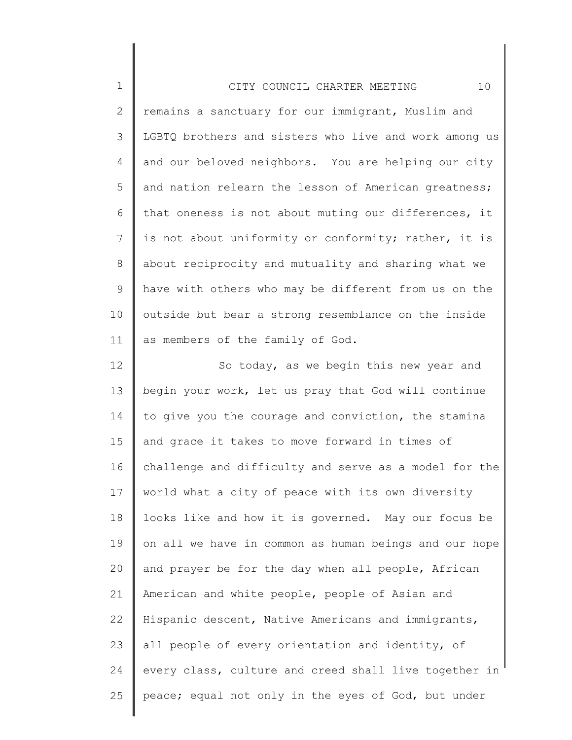| $\mathbf 1$    | 10<br>CITY COUNCIL CHARTER MEETING                    |
|----------------|-------------------------------------------------------|
| $\overline{2}$ | remains a sanctuary for our immigrant, Muslim and     |
| $\mathcal{S}$  | LGBTQ brothers and sisters who live and work among us |
| 4              | and our beloved neighbors. You are helping our city   |
| 5              | and nation relearn the lesson of American greatness;  |
| 6              | that oneness is not about muting our differences, it  |
| $\overline{7}$ | is not about uniformity or conformity; rather, it is  |
| 8              | about reciprocity and mutuality and sharing what we   |
| $\mathcal{G}$  | have with others who may be different from us on the  |
| 10             | outside but bear a strong resemblance on the inside   |
| 11             | as members of the family of God.                      |
| 12             | So today, as we begin this new year and               |
| 13             | begin your work, let us pray that God will continue   |
| 14             | to give you the courage and conviction, the stamina   |
| 15             | and grace it takes to move forward in times of        |
| 16             | challenge and difficulty and serve as a model for the |
| 17             | world what a city of peace with its own diversity     |
| 18             | looks like and how it is governed. May our focus be   |
| 19             | on all we have in common as human beings and our hope |

20 21 22 23 24 25 and prayer be for the day when all people, African American and white people, people of Asian and Hispanic descent, Native Americans and immigrants, all people of every orientation and identity, of every class, culture and creed shall live together in peace; equal not only in the eyes of God, but under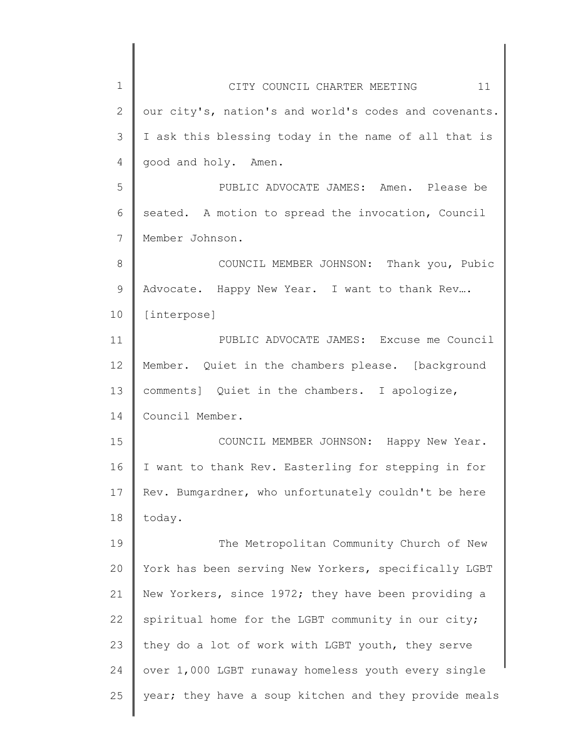| $\mathbf 1$ | 11<br>CITY COUNCIL CHARTER MEETING                    |
|-------------|-------------------------------------------------------|
| 2           | our city's, nation's and world's codes and covenants. |
| 3           | I ask this blessing today in the name of all that is  |
| 4           | good and holy. Amen.                                  |
| 5           | PUBLIC ADVOCATE JAMES: Amen. Please be                |
| 6           | seated. A motion to spread the invocation, Council    |
| 7           | Member Johnson.                                       |
| 8           | COUNCIL MEMBER JOHNSON: Thank you, Pubic              |
| $\mathsf 9$ | Advocate. Happy New Year. I want to thank Rev         |
| 10          | [interpose]                                           |
| 11          | PUBLIC ADVOCATE JAMES: Excuse me Council              |
| 12          | Member. Quiet in the chambers please. [background     |
| 13          | comments] Quiet in the chambers. I apologize,         |
| 14          | Council Member.                                       |
| 15          | COUNCIL MEMBER JOHNSON: Happy New Year.               |
| 16          | I want to thank Rev. Easterling for stepping in for   |
| 17          | Rev. Bumgardner, who unfortunately couldn't be here   |
| 18          | today.                                                |
| 19          | The Metropolitan Community Church of New              |
| 20          | York has been serving New Yorkers, specifically LGBT  |
| 21          | New Yorkers, since 1972; they have been providing a   |
| 22          | spiritual home for the LGBT community in our city;    |
| 23          | they do a lot of work with LGBT youth, they serve     |
| 24          | over 1,000 LGBT runaway homeless youth every single   |
| 25          | year; they have a soup kitchen and they provide meals |
|             |                                                       |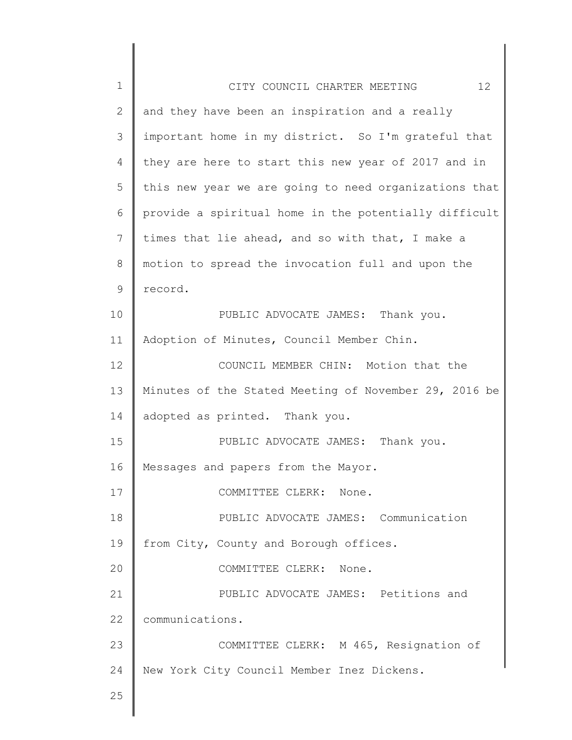| $\mathbf 1$  | 12 <sup>°</sup><br>CITY COUNCIL CHARTER MEETING       |
|--------------|-------------------------------------------------------|
| $\mathbf{2}$ | and they have been an inspiration and a really        |
| 3            | important home in my district. So I'm grateful that   |
| 4            | they are here to start this new year of 2017 and in   |
| 5            | this new year we are going to need organizations that |
| 6            | provide a spiritual home in the potentially difficult |
| 7            | times that lie ahead, and so with that, I make a      |
| 8            | motion to spread the invocation full and upon the     |
| 9            | record.                                               |
| 10           | PUBLIC ADVOCATE JAMES: Thank you.                     |
| 11           | Adoption of Minutes, Council Member Chin.             |
| 12           | COUNCIL MEMBER CHIN: Motion that the                  |
| 13           | Minutes of the Stated Meeting of November 29, 2016 be |
| 14           | adopted as printed. Thank you.                        |
| 15           | PUBLIC ADVOCATE JAMES: Thank you.                     |
| 16           | Messages and papers from the Mayor.                   |
| 17           | COMMITTEE CLERK:<br>None.                             |
| 18           | PUBLIC ADVOCATE JAMES: Communication                  |
| 19           | from City, County and Borough offices.                |
| 20           | COMMITTEE CLERK: None.                                |
| 21           | PUBLIC ADVOCATE JAMES: Petitions and                  |
| 22           | communications.                                       |
| 23           | COMMITTEE CLERK: M 465, Resignation of                |
| 24           | New York City Council Member Inez Dickens.            |
| 25           |                                                       |
|              |                                                       |

 $\begin{array}{c} \hline \end{array}$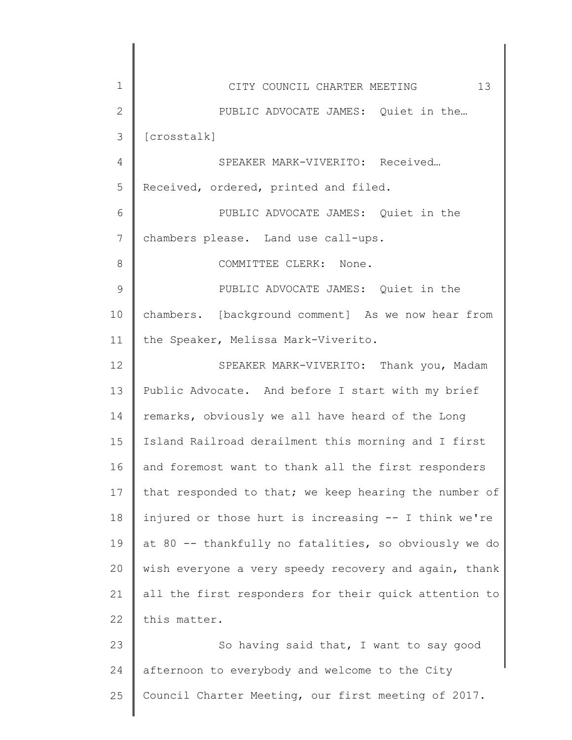| $\mathbf 1$    | 13<br>CITY COUNCIL CHARTER MEETING                    |
|----------------|-------------------------------------------------------|
| $\mathbf 2$    | PUBLIC ADVOCATE JAMES: Quiet in the                   |
| $\mathfrak{Z}$ | [crosstalk]                                           |
| 4              | SPEAKER MARK-VIVERITO: Received                       |
| 5              | Received, ordered, printed and filed.                 |
| 6              | PUBLIC ADVOCATE JAMES: Quiet in the                   |
| 7              | chambers please. Land use call-ups.                   |
| 8              | COMMITTEE CLERK: None.                                |
| $\mathcal{G}$  | PUBLIC ADVOCATE JAMES: Quiet in the                   |
| 10             | chambers. [background comment] As we now hear from    |
| 11             | the Speaker, Melissa Mark-Viverito.                   |
| 12             | SPEAKER MARK-VIVERITO: Thank you, Madam               |
| 13             | Public Advocate. And before I start with my brief     |
| 14             | remarks, obviously we all have heard of the Long      |
| 15             | Island Railroad derailment this morning and I first   |
| 16             | and foremost want to thank all the first responders   |
| 17             | that responded to that; we keep hearing the number of |
| 18             | injured or those hurt is increasing -- I think we're  |
| 19             | at 80 -- thankfully no fatalities, so obviously we do |
| 20             | wish everyone a very speedy recovery and again, thank |
| 21             | all the first responders for their quick attention to |
| 22             | this matter.                                          |
| 23             | So having said that, I want to say good               |
| 24             | afternoon to everybody and welcome to the City        |
| 25             | Council Charter Meeting, our first meeting of 2017.   |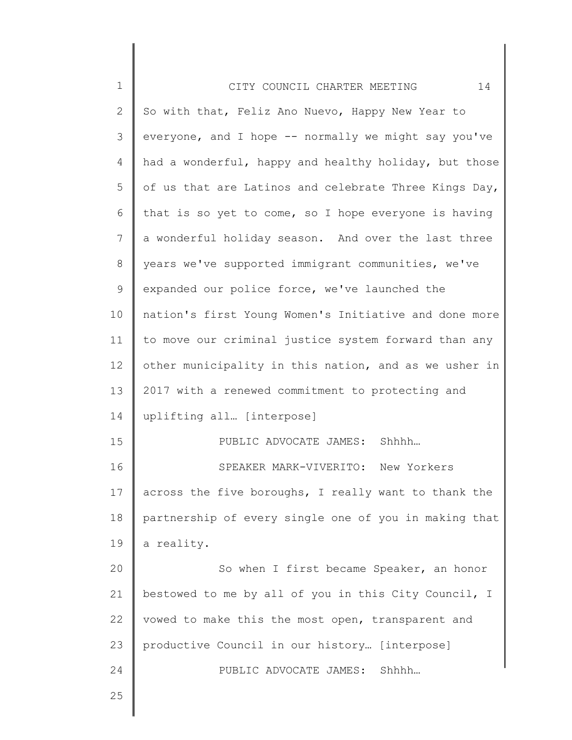| $\mathbf 1$    | 14<br>CITY COUNCIL CHARTER MEETING                    |
|----------------|-------------------------------------------------------|
| $\overline{2}$ | So with that, Feliz Ano Nuevo, Happy New Year to      |
| 3              | everyone, and I hope -- normally we might say you've  |
| $\overline{4}$ | had a wonderful, happy and healthy holiday, but those |
| 5              | of us that are Latinos and celebrate Three Kings Day, |
| 6              | that is so yet to come, so I hope everyone is having  |
| 7              | a wonderful holiday season. And over the last three   |
| 8              | years we've supported immigrant communities, we've    |
| $\mathsf 9$    | expanded our police force, we've launched the         |
| 10             | nation's first Young Women's Initiative and done more |
| 11             | to move our criminal justice system forward than any  |
| 12             | other municipality in this nation, and as we usher in |
| 13             | 2017 with a renewed commitment to protecting and      |
| 14             | uplifting all [interpose]                             |
| 15             | PUBLIC ADVOCATE JAMES: Shhhh                          |
| 16             | SPEAKER MARK-VIVERITO:<br>New Yorkers                 |
| 17             | across the five boroughs, I really want to thank the  |
| 18             | partnership of every single one of you in making that |
| 19             | a reality.                                            |
| 20             | So when I first became Speaker, an honor              |
| 21             | bestowed to me by all of you in this City Council, I  |
| 22             | vowed to make this the most open, transparent and     |
| 23             | productive Council in our history [interpose]         |
| 24             | Shhhh<br>PUBLIC ADVOCATE JAMES:                       |
| 25             |                                                       |
|                |                                                       |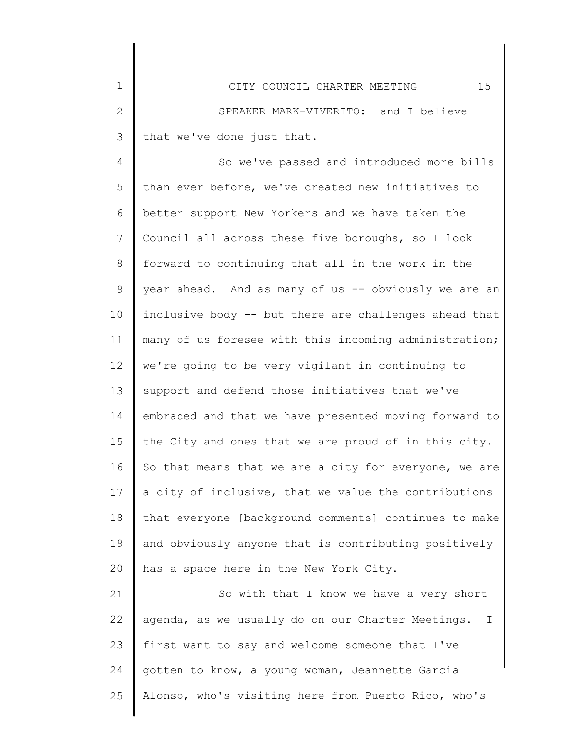| $\mathbf 1$ | 15<br>CITY COUNCIL CHARTER MEETING                               |
|-------------|------------------------------------------------------------------|
| 2           | SPEAKER MARK-VIVERITO: and I believe                             |
| 3           | that we've done just that.                                       |
| 4           | So we've passed and introduced more bills                        |
| 5           | than ever before, we've created new initiatives to               |
| 6           | better support New Yorkers and we have taken the                 |
| 7           | Council all across these five boroughs, so I look                |
| 8           | forward to continuing that all in the work in the                |
| 9           | year ahead. And as many of us -- obviously we are an             |
| 10          | inclusive body -- but there are challenges ahead that            |
| 11          | many of us foresee with this incoming administration;            |
| 12          | we're going to be very vigilant in continuing to                 |
| 13          | support and defend those initiatives that we've                  |
| 14          | embraced and that we have presented moving forward to            |
| 15          | the City and ones that we are proud of in this city.             |
| 16          | So that means that we are a city for everyone, we are            |
| 17          | a city of inclusive, that we value the contributions             |
| 18          | that everyone [background comments] continues to make            |
| 19          | and obviously anyone that is contributing positively             |
| 20          | has a space here in the New York City.                           |
| 21          | So with that I know we have a very short                         |
| 22          | agenda, as we usually do on our Charter Meetings.<br>$\mathbf I$ |
| 23          | first want to say and welcome someone that I've                  |
|             |                                                                  |

24 gotten to know, a young woman, Jeannette Garcia

Alonso, who's visiting here from Puerto Rico, who's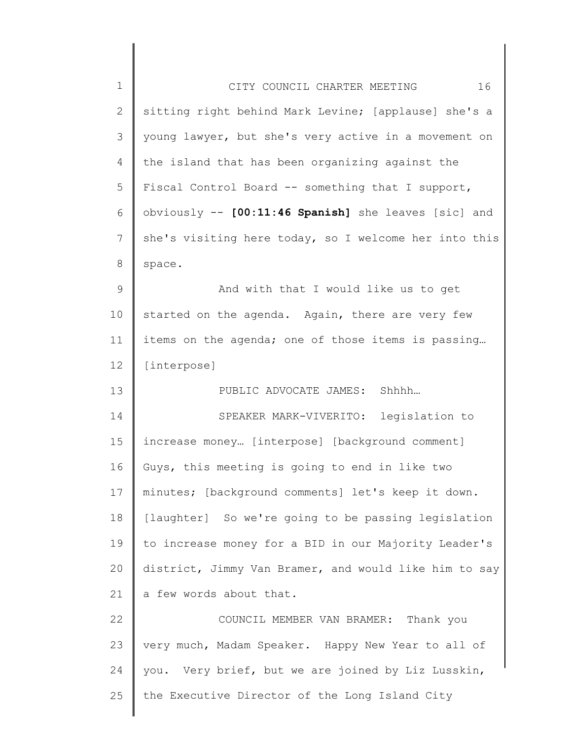| $\mathbf 1$  | 16<br>CITY COUNCIL CHARTER MEETING                    |
|--------------|-------------------------------------------------------|
| $\mathbf{2}$ | sitting right behind Mark Levine; [applause] she's a  |
| 3            | young lawyer, but she's very active in a movement on  |
| 4            | the island that has been organizing against the       |
| 5            | Fiscal Control Board -- something that I support,     |
| 6            | obviously -- [00:11:46 Spanish] she leaves [sic] and  |
| 7            | she's visiting here today, so I welcome her into this |
| 8            | space.                                                |
| 9            | And with that I would like us to get                  |
| 10           | started on the agenda. Again, there are very few      |
| 11           | items on the agenda; one of those items is passing    |
| 12           | [interpose]                                           |
| 13           | PUBLIC ADVOCATE JAMES: Shhhh                          |
| 14           | SPEAKER MARK-VIVERITO: legislation to                 |
| 15           | increase money [interpose] [background comment]       |
| 16           | Guys, this meeting is going to end in like two        |
| 17           | minutes; [background comments] let's keep it down.    |
| 18           | [laughter] So we're going to be passing legislation   |
| 19           | to increase money for a BID in our Majority Leader's  |
| 20           | district, Jimmy Van Bramer, and would like him to say |
| 21           | a few words about that.                               |
| 22           | COUNCIL MEMBER VAN BRAMER: Thank you                  |
| 23           | very much, Madam Speaker. Happy New Year to all of    |
| 24           | you. Very brief, but we are joined by Liz Lusskin,    |
| 25           | the Executive Director of the Long Island City        |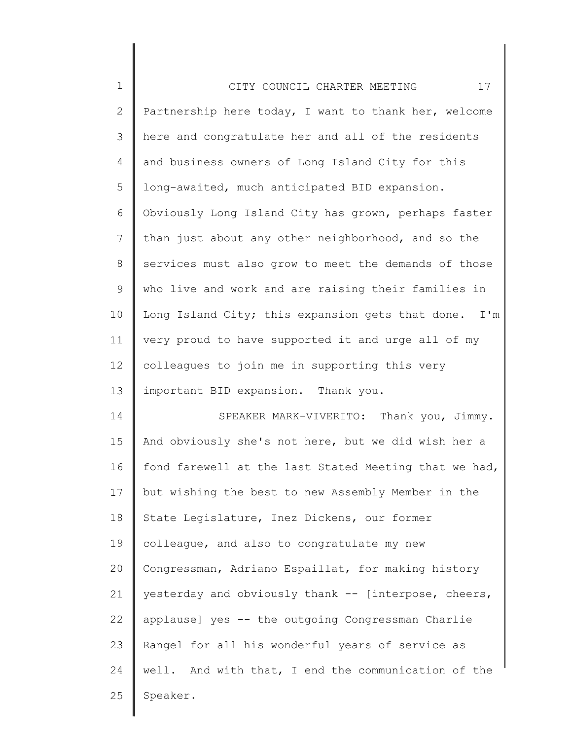| $\mathbf 1$     | 17<br>CITY COUNCIL CHARTER MEETING                    |
|-----------------|-------------------------------------------------------|
| $\mathbf{2}$    | Partnership here today, I want to thank her, welcome  |
| 3               | here and congratulate her and all of the residents    |
| 4               | and business owners of Long Island City for this      |
| 5               | long-awaited, much anticipated BID expansion.         |
| 6               | Obviously Long Island City has grown, perhaps faster  |
| $7\phantom{.0}$ | than just about any other neighborhood, and so the    |
| 8               | services must also grow to meet the demands of those  |
| 9               | who live and work and are raising their families in   |
| 10              | Long Island City; this expansion gets that done. I'm  |
| 11              | very proud to have supported it and urge all of my    |
| 12              | colleagues to join me in supporting this very         |
| 13              | important BID expansion. Thank you.                   |
| 14              | SPEAKER MARK-VIVERITO: Thank you, Jimmy.              |
| 15              | And obviously she's not here, but we did wish her a   |
| 16              | fond farewell at the last Stated Meeting that we had, |
| 17              | but wishing the best to new Assembly Member in the    |
| 18              | State Legislature, Inez Dickens, our former           |
| 19              | colleague, and also to congratulate my new            |
| 20              | Congressman, Adriano Espaillat, for making history    |
| 21              | yesterday and obviously thank -- [interpose, cheers,  |
| 22              | applause] yes -- the outgoing Congressman Charlie     |
| 23              | Rangel for all his wonderful years of service as      |
| 24              | well. And with that, I end the communication of the   |
| 25              | Speaker.                                              |
|                 |                                                       |

║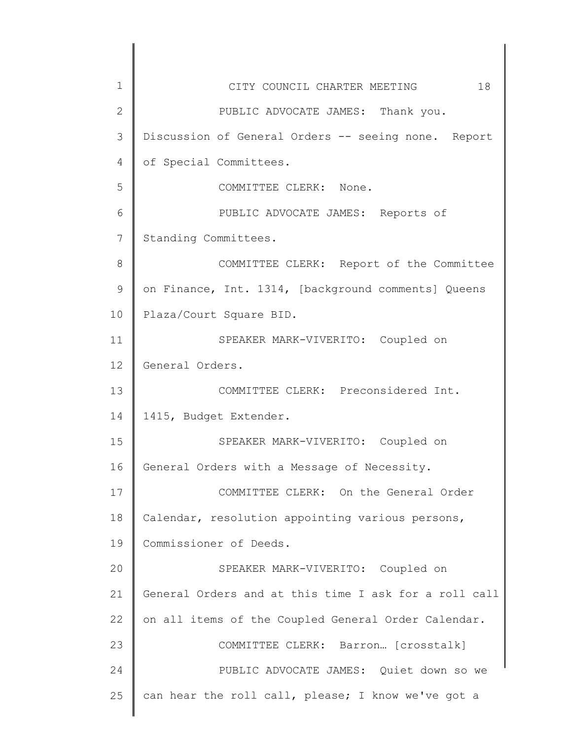| 1            | 18<br>CITY COUNCIL CHARTER MEETING                    |
|--------------|-------------------------------------------------------|
| $\mathbf{2}$ | PUBLIC ADVOCATE JAMES: Thank you.                     |
| 3            | Discussion of General Orders -- seeing none. Report   |
| 4            | of Special Committees.                                |
| 5            | COMMITTEE CLERK: None.                                |
| 6            | PUBLIC ADVOCATE JAMES: Reports of                     |
| 7            | Standing Committees.                                  |
| 8            | COMMITTEE CLERK: Report of the Committee              |
| 9            | on Finance, Int. 1314, [background comments] Queens   |
| 10           | Plaza/Court Square BID.                               |
| 11           | SPEAKER MARK-VIVERITO: Coupled on                     |
| 12           | General Orders.                                       |
| 13           | COMMITTEE CLERK: Preconsidered Int.                   |
| 14           | 1415, Budget Extender.                                |
| 15           | SPEAKER MARK-VIVERITO: Coupled on                     |
| 16           | General Orders with a Message of Necessity.           |
| 17           | COMMITTEE CLERK: On the General Order                 |
| 18           | Calendar, resolution appointing various persons,      |
| 19           | Commissioner of Deeds.                                |
| 20           | SPEAKER MARK-VIVERITO: Coupled on                     |
| 21           | General Orders and at this time I ask for a roll call |
| 22           | on all items of the Coupled General Order Calendar.   |
| 23           | COMMITTEE CLERK: Barron [crosstalk]                   |
| 24           | PUBLIC ADVOCATE JAMES: Quiet down so we               |
| 25           | can hear the roll call, please; I know we've got a    |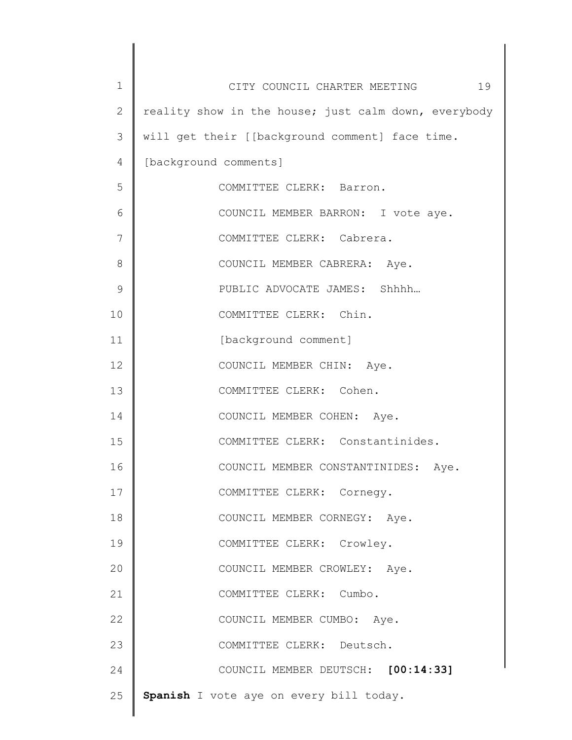| 1  | 19<br>CITY COUNCIL CHARTER MEETING                   |
|----|------------------------------------------------------|
| 2  | reality show in the house; just calm down, everybody |
| 3  | will get their [[background comment] face time.      |
| 4  | [background comments]                                |
| 5  | COMMITTEE CLERK: Barron.                             |
| 6  | COUNCIL MEMBER BARRON: I vote aye.                   |
| 7  | COMMITTEE CLERK: Cabrera.                            |
| 8  | COUNCIL MEMBER CABRERA: Aye.                         |
| 9  | PUBLIC ADVOCATE JAMES: Shhhh                         |
| 10 | COMMITTEE CLERK: Chin.                               |
| 11 | [background comment]                                 |
| 12 | COUNCIL MEMBER CHIN: Aye.                            |
| 13 | COMMITTEE CLERK: Cohen.                              |
| 14 | COUNCIL MEMBER COHEN: Aye.                           |
| 15 | COMMITTEE CLERK: Constantinides.                     |
| 16 | COUNCIL MEMBER CONSTANTINIDES: Aye.                  |
| 17 | COMMITTEE CLERK: Cornegy.                            |
| 18 | COUNCIL MEMBER CORNEGY: Aye.                         |
| 19 | COMMITTEE CLERK: Crowley.                            |
| 20 | COUNCIL MEMBER CROWLEY: Aye.                         |
| 21 | COMMITTEE CLERK: Cumbo.                              |
| 22 | COUNCIL MEMBER CUMBO: Aye.                           |
| 23 | COMMITTEE CLERK: Deutsch.                            |
| 24 | COUNCIL MEMBER DEUTSCH: [00:14:33]                   |
| 25 | Spanish I vote aye on every bill today.              |
|    |                                                      |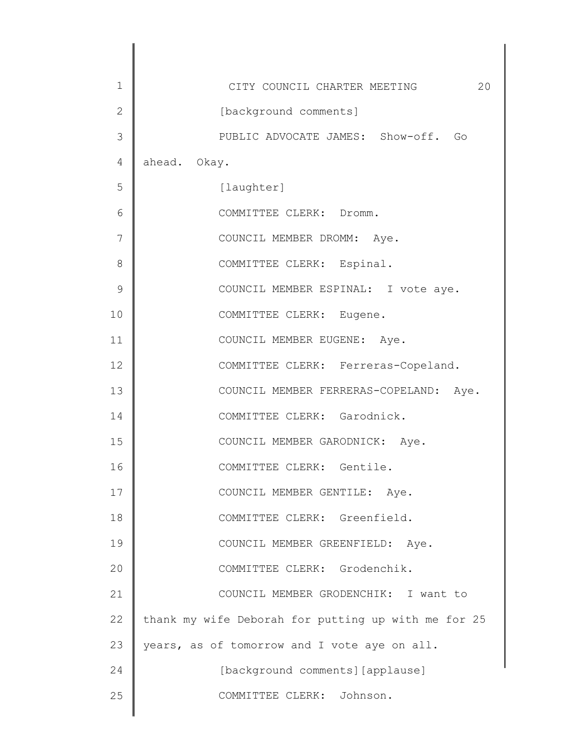| $\mathbf 1$  | CITY COUNCIL CHARTER MEETING<br>20                  |
|--------------|-----------------------------------------------------|
| $\mathbf{2}$ | [background comments]                               |
| 3            | PUBLIC ADVOCATE JAMES: Show-off. Go                 |
| 4            | ahead. Okay.                                        |
| 5            | [laughter]                                          |
| 6            | COMMITTEE CLERK: Dromm.                             |
| 7            | COUNCIL MEMBER DROMM: Aye.                          |
| 8            | COMMITTEE CLERK: Espinal.                           |
| 9            | COUNCIL MEMBER ESPINAL: I vote aye.                 |
| 10           | COMMITTEE CLERK: Eugene.                            |
| 11           | COUNCIL MEMBER EUGENE: Aye.                         |
| 12           | COMMITTEE CLERK: Ferreras-Copeland.                 |
| 13           | COUNCIL MEMBER FERRERAS-COPELAND: Aye.              |
| 14           | COMMITTEE CLERK: Garodnick.                         |
| 15           | COUNCIL MEMBER GARODNICK: Aye.                      |
| 16           | COMMITTEE CLERK: Gentile.                           |
| 17           | COUNCIL MEMBER GENTILE: Aye.                        |
| 18           | COMMITTEE CLERK: Greenfield.                        |
| 19           | COUNCIL MEMBER GREENFIELD: Aye.                     |
| 20           | COMMITTEE CLERK: Grodenchik.                        |
| 21           | COUNCIL MEMBER GRODENCHIK: I want to                |
| 22           | thank my wife Deborah for putting up with me for 25 |
| 23           | years, as of tomorrow and I vote aye on all.        |
| 24           | [background comments] [applause]                    |
| 25           | COMMITTEE CLERK: Johnson.                           |
|              |                                                     |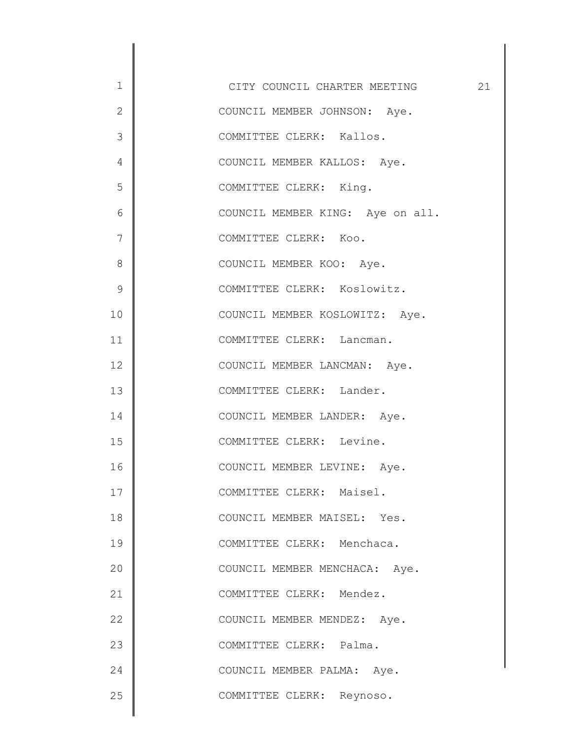1 2 3 4 5 6 7 8 9 10 11 12 13 14 15 16 17 18 19 20 21 22 23 24 25 CITY COUNCIL CHARTER MEETING 21 COUNCIL MEMBER JOHNSON: Aye. COMMITTEE CLERK: Kallos. COUNCIL MEMBER KALLOS: Aye. COMMITTEE CLERK: King. COUNCIL MEMBER KING: Aye on all. COMMITTEE CLERK: Koo. COUNCIL MEMBER KOO: Aye. COMMITTEE CLERK: Koslowitz. COUNCIL MEMBER KOSLOWITZ: Aye. COMMITTEE CLERK: Lancman. COUNCIL MEMBER LANCMAN: Aye. COMMITTEE CLERK: Lander. COUNCIL MEMBER LANDER: Aye. COMMITTEE CLERK: Levine. COUNCIL MEMBER LEVINE: Aye. COMMITTEE CLERK: Maisel. COUNCIL MEMBER MAISEL: Yes. COMMITTEE CLERK: Menchaca. COUNCIL MEMBER MENCHACA: Aye. COMMITTEE CLERK: Mendez. COUNCIL MEMBER MENDEZ: Aye. COMMITTEE CLERK: Palma. COUNCIL MEMBER PALMA: Aye. COMMITTEE CLERK: Reynoso.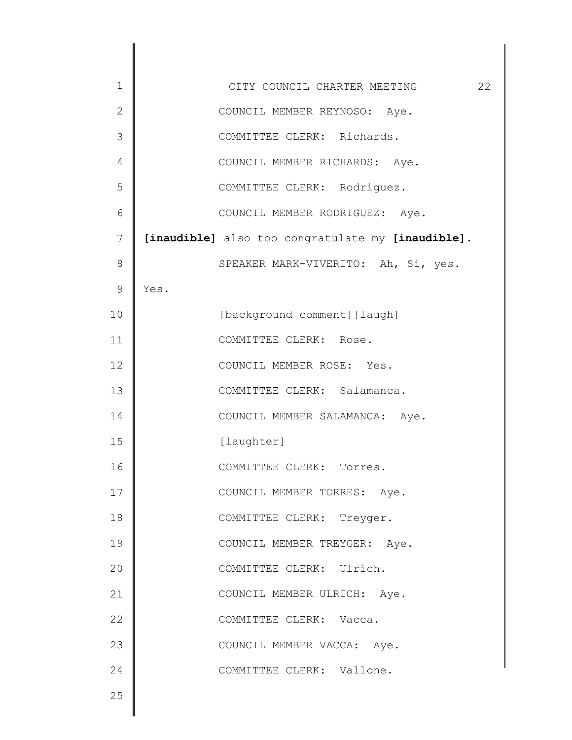| $\mathbf 1$   | 22<br>CITY COUNCIL CHARTER MEETING                |
|---------------|---------------------------------------------------|
| $\mathbf{2}$  | COUNCIL MEMBER REYNOSO: Aye.                      |
| 3             | COMMITTEE CLERK: Richards.                        |
| 4             | COUNCIL MEMBER RICHARDS: Aye.                     |
| 5             | COMMITTEE CLERK: Rodriguez.                       |
| 6             | COUNCIL MEMBER RODRIGUEZ: Aye.                    |
| 7             | [inaudible] also too congratulate my [inaudible]. |
| 8             | SPEAKER MARK-VIVERITO: Ah, Si, yes.               |
| $\mathcal{G}$ | Yes.                                              |
| 10            | [background comment] [laugh]                      |
| 11            | COMMITTEE CLERK: Rose.                            |
| 12            | COUNCIL MEMBER ROSE: Yes.                         |
| 13            | COMMITTEE CLERK: Salamanca.                       |
| 14            | COUNCIL MEMBER SALAMANCA: Aye.                    |
| 15            | [laughter]                                        |
| 16            | COMMITTEE CLERK: Torres.                          |
| 17            | COUNCIL MEMBER TORRES: Aye.                       |
| 18            | COMMITTEE CLERK: Treyger.                         |
| 19            | COUNCIL MEMBER TREYGER: Aye.                      |
| 20            | COMMITTEE CLERK: Ulrich.                          |
| 21            | COUNCIL MEMBER ULRICH: Aye.                       |
| 22            | COMMITTEE CLERK: Vacca.                           |
| 23            | COUNCIL MEMBER VACCA: Aye.                        |
| 24            | COMMITTEE CLERK: Vallone.                         |
| 25            |                                                   |
|               |                                                   |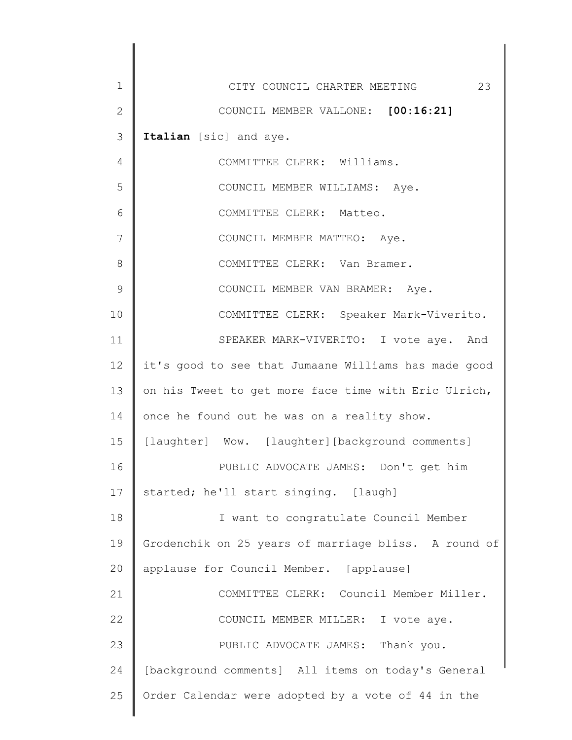| $\mathbf 1$  | 23<br>CITY COUNCIL CHARTER MEETING                   |
|--------------|------------------------------------------------------|
| $\mathbf{2}$ | COUNCIL MEMBER VALLONE: [00:16:21]                   |
| 3            | Italian [sic] and aye.                               |
| 4            | COMMITTEE CLERK: Williams.                           |
| 5            | COUNCIL MEMBER WILLIAMS: Aye.                        |
| 6            | COMMITTEE CLERK: Matteo.                             |
| 7            | COUNCIL MEMBER MATTEO: Aye.                          |
| 8            | COMMITTEE CLERK: Van Bramer.                         |
| 9            | COUNCIL MEMBER VAN BRAMER: Aye.                      |
| 10           | COMMITTEE CLERK: Speaker Mark-Viverito.              |
| 11           | SPEAKER MARK-VIVERITO: I vote aye. And               |
| 12           | it's good to see that Jumaane Williams has made good |
| 13           | on his Tweet to get more face time with Eric Ulrich, |
| 14           | once he found out he was on a reality show.          |
| 15           | [laughter] Wow. [laughter] [background comments]     |
| 16           | PUBLIC ADVOCATE JAMES: Don't get him                 |
| 17           | started; he'll start singing. [laugh]                |
| 18           | I want to congratulate Council Member                |
| 19           | Grodenchik on 25 years of marriage bliss. A round of |
| 20           | applause for Council Member. [applause]              |
| 21           | COMMITTEE CLERK: Council Member Miller.              |
| 22           | COUNCIL MEMBER MILLER: I vote aye.                   |
| 23           | PUBLIC ADVOCATE JAMES: Thank you.                    |
| 24           | [background comments] All items on today's General   |
| 25           | Order Calendar were adopted by a vote of 44 in the   |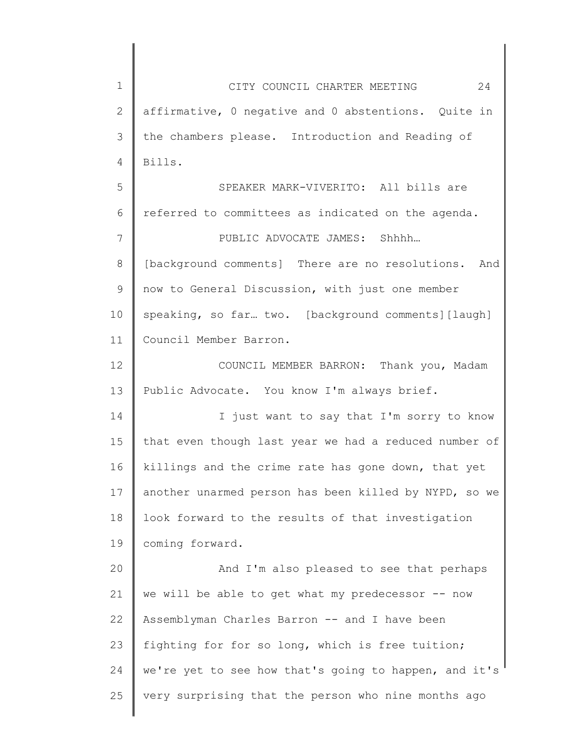1 2 3 4 5 6 7 8 9 10 11 12 13 14 15 16 17 18 19 20 21 22 23 24 25 CITY COUNCIL CHARTER MEETING 24 affirmative, 0 negative and 0 abstentions. Quite in the chambers please. Introduction and Reading of Bills. SPEAKER MARK-VIVERITO: All bills are referred to committees as indicated on the agenda. PUBLIC ADVOCATE JAMES: Shhhh… [background comments] There are no resolutions. And now to General Discussion, with just one member speaking, so far... two. [background comments] [laugh] Council Member Barron. COUNCIL MEMBER BARRON: Thank you, Madam Public Advocate. You know I'm always brief. I just want to say that I'm sorry to know that even though last year we had a reduced number of killings and the crime rate has gone down, that yet another unarmed person has been killed by NYPD, so we look forward to the results of that investigation coming forward. And I'm also pleased to see that perhaps we will be able to get what my predecessor -- now Assemblyman Charles Barron -- and I have been fighting for for so long, which is free tuition; we're yet to see how that's going to happen, and it's very surprising that the person who nine months ago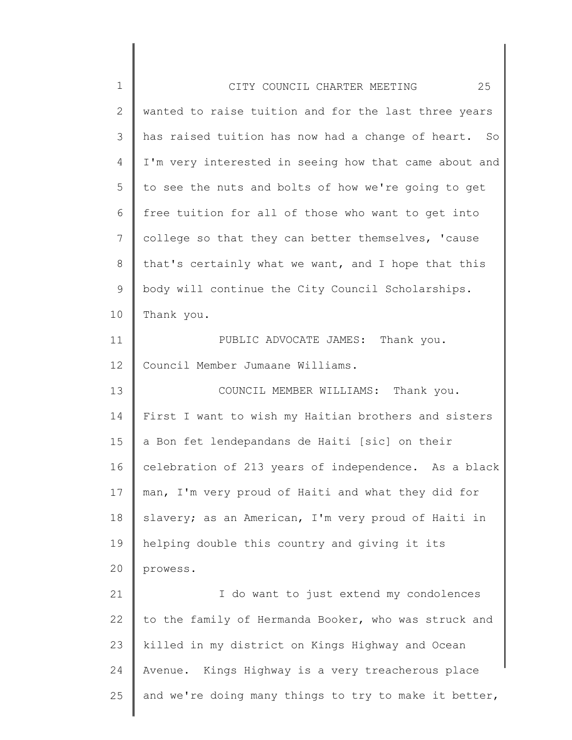| $\mathbf 1$   | 25<br>CITY COUNCIL CHARTER MEETING                    |
|---------------|-------------------------------------------------------|
| $\mathbf{2}$  | wanted to raise tuition and for the last three years  |
| 3             | has raised tuition has now had a change of heart. So  |
| 4             | I'm very interested in seeing how that came about and |
| 5             | to see the nuts and bolts of how we're going to get   |
| 6             | free tuition for all of those who want to get into    |
| 7             | college so that they can better themselves, 'cause    |
| 8             | that's certainly what we want, and I hope that this   |
| $\mathcal{G}$ | body will continue the City Council Scholarships.     |
| 10            | Thank you.                                            |
| 11            | PUBLIC ADVOCATE JAMES: Thank you.                     |
| 12            | Council Member Jumaane Williams.                      |
| 13            | COUNCIL MEMBER WILLIAMS: Thank you.                   |
| 14            | First I want to wish my Haitian brothers and sisters  |
| 15            | a Bon fet lendepandans de Haiti [sic] on their        |
| 16            | celebration of 213 years of independence. As a black  |
| 17            | man, I'm very proud of Haiti and what they did for    |
| 18            | slavery; as an American, I'm very proud of Haiti in   |
| 19            | helping double this country and giving it its         |
| 20            | prowess.                                              |
| 21            | I do want to just extend my condolences               |
| 22            | to the family of Hermanda Booker, who was struck and  |
| 23            | killed in my district on Kings Highway and Ocean      |
| 24            | Avenue. Kings Highway is a very treacherous place     |
| 25            | and we're doing many things to try to make it better, |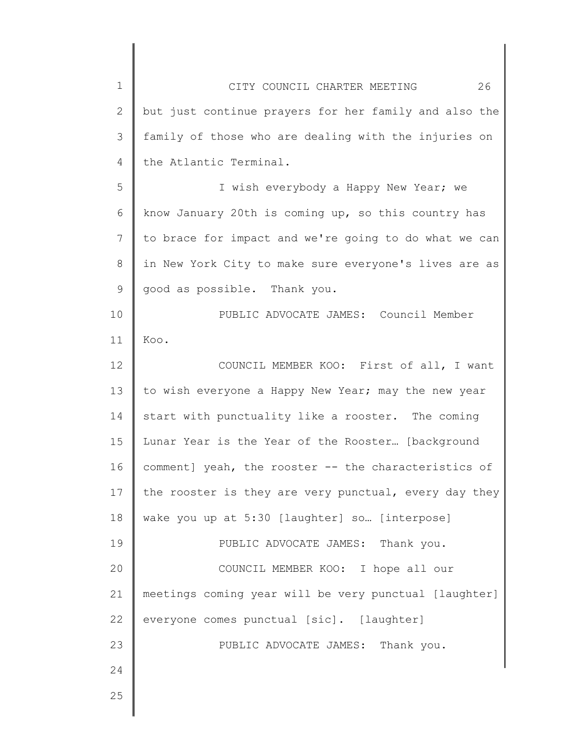| $\mathbf 1$    | 26<br>CITY COUNCIL CHARTER MEETING                    |
|----------------|-------------------------------------------------------|
| $\mathbf{2}$   | but just continue prayers for her family and also the |
| 3              | family of those who are dealing with the injuries on  |
| $\overline{4}$ | the Atlantic Terminal.                                |
| 5              | I wish everybody a Happy New Year; we                 |
| 6              | know January 20th is coming up, so this country has   |
| 7              | to brace for impact and we're going to do what we can |
| 8              | in New York City to make sure everyone's lives are as |
| 9              | good as possible. Thank you.                          |
| 10             | PUBLIC ADVOCATE JAMES: Council Member                 |
| 11             | Koo.                                                  |
| 12             | COUNCIL MEMBER KOO: First of all, I want              |
| 13             | to wish everyone a Happy New Year; may the new year   |
| 14             | start with punctuality like a rooster. The coming     |
| 15             | Lunar Year is the Year of the Rooster [background     |
| 16             | comment] yeah, the rooster -- the characteristics of  |
| 17             | the rooster is they are very punctual, every day they |
| 18             | wake you up at 5:30 [laughter] so [interpose]         |
| 19             | PUBLIC ADVOCATE JAMES: Thank you.                     |
| 20             | COUNCIL MEMBER KOO: I hope all our                    |
| 21             | meetings coming year will be very punctual [laughter] |
| 22             | everyone comes punctual [sic]. [laughter]             |
| 23             | PUBLIC ADVOCATE JAMES: Thank you.                     |
| 24             |                                                       |
| 25             |                                                       |
|                |                                                       |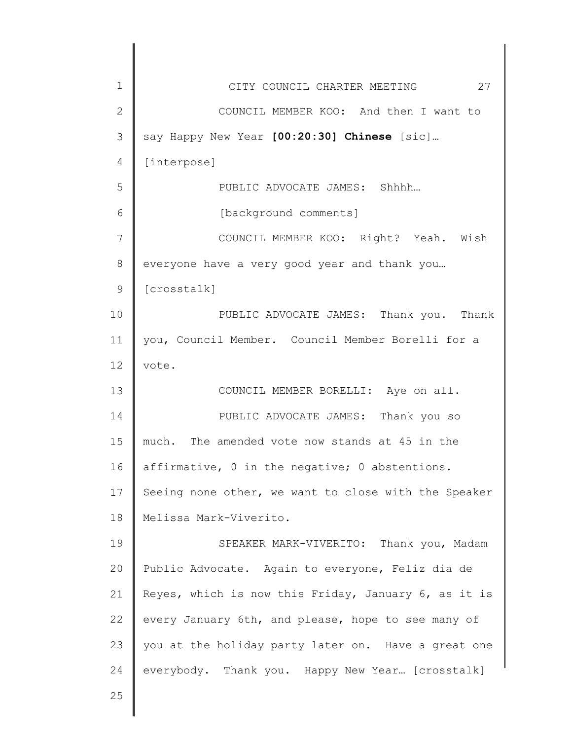| $\mathbf{1}$<br>27<br>CITY COUNCIL CHARTER MEETING<br>$\mathbf{2}$<br>COUNCIL MEMBER KOO: And then I want to<br>3<br>say Happy New Year [00:20:30] Chinese [sic]<br>$\overline{4}$<br>[interpose]<br>5<br>PUBLIC ADVOCATE JAMES: Shhhh<br>6<br>[background comments]<br>7<br>COUNCIL MEMBER KOO: Right? Yeah. Wish<br>$8\,$<br>everyone have a very good year and thank you<br>$\mathcal{G}$<br>[crosstalk]<br>10<br>PUBLIC ADVOCATE JAMES: Thank you. Thank<br>you, Council Member. Council Member Borelli for a<br>11<br>12<br>vote.<br>13<br>COUNCIL MEMBER BORELLI: Aye on all.<br>14<br>PUBLIC ADVOCATE JAMES: Thank you so<br>15<br>The amended vote now stands at 45 in the<br>much.<br>16<br>affirmative, 0 in the negative; 0 abstentions.<br>17<br>Seeing none other, we want to close with the Speaker<br>Melissa Mark-Viverito.<br>18<br>19<br>SPEAKER MARK-VIVERITO: Thank you, Madam<br>Public Advocate. Again to everyone, Feliz dia de<br>20<br>21<br>Reyes, which is now this Friday, January 6, as it is<br>22<br>every January 6th, and please, hope to see many of<br>23<br>you at the holiday party later on. Have a great one<br>everybody. Thank you. Happy New Year [crosstalk]<br>24<br>25 |  |
|---------------------------------------------------------------------------------------------------------------------------------------------------------------------------------------------------------------------------------------------------------------------------------------------------------------------------------------------------------------------------------------------------------------------------------------------------------------------------------------------------------------------------------------------------------------------------------------------------------------------------------------------------------------------------------------------------------------------------------------------------------------------------------------------------------------------------------------------------------------------------------------------------------------------------------------------------------------------------------------------------------------------------------------------------------------------------------------------------------------------------------------------------------------------------------------------------------------------|--|
|                                                                                                                                                                                                                                                                                                                                                                                                                                                                                                                                                                                                                                                                                                                                                                                                                                                                                                                                                                                                                                                                                                                                                                                                                     |  |
|                                                                                                                                                                                                                                                                                                                                                                                                                                                                                                                                                                                                                                                                                                                                                                                                                                                                                                                                                                                                                                                                                                                                                                                                                     |  |
|                                                                                                                                                                                                                                                                                                                                                                                                                                                                                                                                                                                                                                                                                                                                                                                                                                                                                                                                                                                                                                                                                                                                                                                                                     |  |
|                                                                                                                                                                                                                                                                                                                                                                                                                                                                                                                                                                                                                                                                                                                                                                                                                                                                                                                                                                                                                                                                                                                                                                                                                     |  |
|                                                                                                                                                                                                                                                                                                                                                                                                                                                                                                                                                                                                                                                                                                                                                                                                                                                                                                                                                                                                                                                                                                                                                                                                                     |  |
|                                                                                                                                                                                                                                                                                                                                                                                                                                                                                                                                                                                                                                                                                                                                                                                                                                                                                                                                                                                                                                                                                                                                                                                                                     |  |
|                                                                                                                                                                                                                                                                                                                                                                                                                                                                                                                                                                                                                                                                                                                                                                                                                                                                                                                                                                                                                                                                                                                                                                                                                     |  |
|                                                                                                                                                                                                                                                                                                                                                                                                                                                                                                                                                                                                                                                                                                                                                                                                                                                                                                                                                                                                                                                                                                                                                                                                                     |  |
|                                                                                                                                                                                                                                                                                                                                                                                                                                                                                                                                                                                                                                                                                                                                                                                                                                                                                                                                                                                                                                                                                                                                                                                                                     |  |
|                                                                                                                                                                                                                                                                                                                                                                                                                                                                                                                                                                                                                                                                                                                                                                                                                                                                                                                                                                                                                                                                                                                                                                                                                     |  |
|                                                                                                                                                                                                                                                                                                                                                                                                                                                                                                                                                                                                                                                                                                                                                                                                                                                                                                                                                                                                                                                                                                                                                                                                                     |  |
|                                                                                                                                                                                                                                                                                                                                                                                                                                                                                                                                                                                                                                                                                                                                                                                                                                                                                                                                                                                                                                                                                                                                                                                                                     |  |
|                                                                                                                                                                                                                                                                                                                                                                                                                                                                                                                                                                                                                                                                                                                                                                                                                                                                                                                                                                                                                                                                                                                                                                                                                     |  |
|                                                                                                                                                                                                                                                                                                                                                                                                                                                                                                                                                                                                                                                                                                                                                                                                                                                                                                                                                                                                                                                                                                                                                                                                                     |  |
|                                                                                                                                                                                                                                                                                                                                                                                                                                                                                                                                                                                                                                                                                                                                                                                                                                                                                                                                                                                                                                                                                                                                                                                                                     |  |
|                                                                                                                                                                                                                                                                                                                                                                                                                                                                                                                                                                                                                                                                                                                                                                                                                                                                                                                                                                                                                                                                                                                                                                                                                     |  |
|                                                                                                                                                                                                                                                                                                                                                                                                                                                                                                                                                                                                                                                                                                                                                                                                                                                                                                                                                                                                                                                                                                                                                                                                                     |  |
|                                                                                                                                                                                                                                                                                                                                                                                                                                                                                                                                                                                                                                                                                                                                                                                                                                                                                                                                                                                                                                                                                                                                                                                                                     |  |
|                                                                                                                                                                                                                                                                                                                                                                                                                                                                                                                                                                                                                                                                                                                                                                                                                                                                                                                                                                                                                                                                                                                                                                                                                     |  |
|                                                                                                                                                                                                                                                                                                                                                                                                                                                                                                                                                                                                                                                                                                                                                                                                                                                                                                                                                                                                                                                                                                                                                                                                                     |  |
|                                                                                                                                                                                                                                                                                                                                                                                                                                                                                                                                                                                                                                                                                                                                                                                                                                                                                                                                                                                                                                                                                                                                                                                                                     |  |
|                                                                                                                                                                                                                                                                                                                                                                                                                                                                                                                                                                                                                                                                                                                                                                                                                                                                                                                                                                                                                                                                                                                                                                                                                     |  |
|                                                                                                                                                                                                                                                                                                                                                                                                                                                                                                                                                                                                                                                                                                                                                                                                                                                                                                                                                                                                                                                                                                                                                                                                                     |  |
|                                                                                                                                                                                                                                                                                                                                                                                                                                                                                                                                                                                                                                                                                                                                                                                                                                                                                                                                                                                                                                                                                                                                                                                                                     |  |
|                                                                                                                                                                                                                                                                                                                                                                                                                                                                                                                                                                                                                                                                                                                                                                                                                                                                                                                                                                                                                                                                                                                                                                                                                     |  |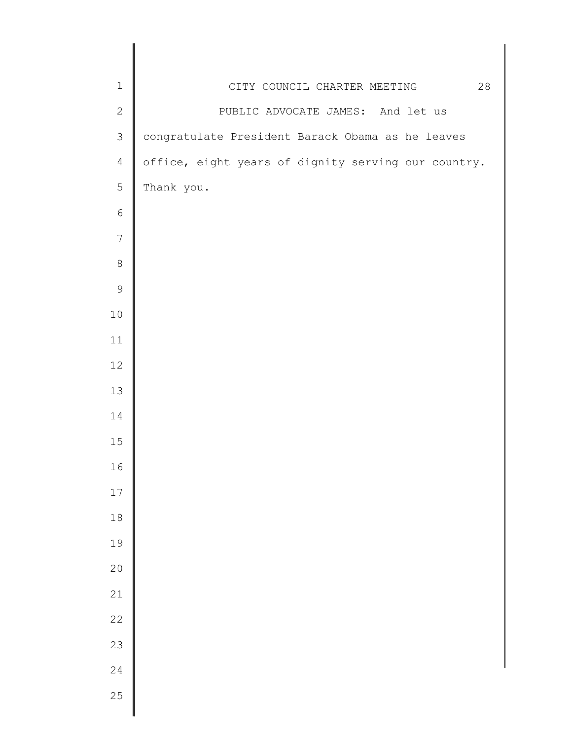| $\mathbf 1$     | 28<br>CITY COUNCIL CHARTER MEETING                  |
|-----------------|-----------------------------------------------------|
| $\sqrt{2}$      | PUBLIC ADVOCATE JAMES: And let us                   |
| $\mathcal{S}$   | congratulate President Barack Obama as he leaves    |
| $\overline{4}$  | office, eight years of dignity serving our country. |
| 5               | Thank you.                                          |
| $\epsilon$      |                                                     |
| $7\phantom{.0}$ |                                                     |
| $\,8\,$         |                                                     |
| $\mathsf 9$     |                                                     |
| $10$            |                                                     |
| 11              |                                                     |
| 12              |                                                     |
| 13              |                                                     |
| 14              |                                                     |
| $15$            |                                                     |
| 16              |                                                     |
| 17              |                                                     |
| $18\,$          |                                                     |
| 19              |                                                     |
| 20              |                                                     |
| 21              |                                                     |
| 22              |                                                     |
| 23              |                                                     |
| 24              |                                                     |
| 25              |                                                     |
|                 |                                                     |